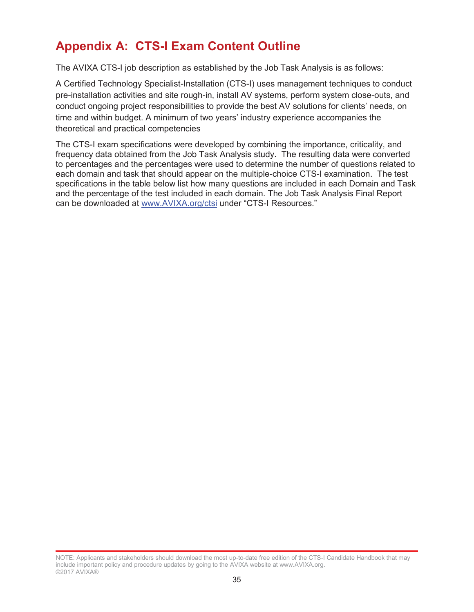## **Appendix A: CTS-I Exam Content Outline**

The AVIXA CTS-I job description as established by the Job Task Analysis is as follows:

A Certified Technology Specialist-Installation (CTS-I) uses management techniques to conduct pre-installation activities and site rough-in, install AV systems, perform system close-outs, and conduct ongoing project responsibilities to provide the best AV solutions for clients' needs, on time and within budget. A minimum of two years' industry experience accompanies the theoretical and practical competencies

The CTS-I exam specifications were developed by combining the importance, criticality, and frequency data obtained from the Job Task Analysis study. The resulting data were converted to percentages and the percentages were used to determine the number of questions related to each domain and task that should appear on the multiple-choice CTS-I examination. The test specifications in the table below list how many questions are included in each Domain and Task and the percentage of the test included in each domain. The Job Task Analysis Final Report can be downloaded at www.AVIXA.org/ctsi under "CTS-I Resources."

NOTE: Applicants and stakeholders should download the most up-to-date free edition of the CTS-I Candidate Handbook that may include important policy and procedure updates by going to the AVIXA website at www.AVIXA.org. ©2017 AVIXA®